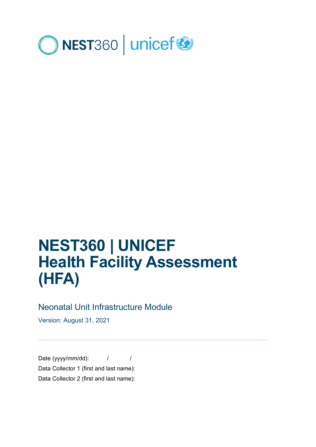

# **NEST360 | UNICEF Health Facility Assessment (HFA)**

## Neonatal Unit Infrastructure Module

Version: August 31, 2021

Date (yyyy/mm/dd):  $\frac{1}{2}$  / Data Collector 1 (first and last name): Data Collector 2 (first and last name):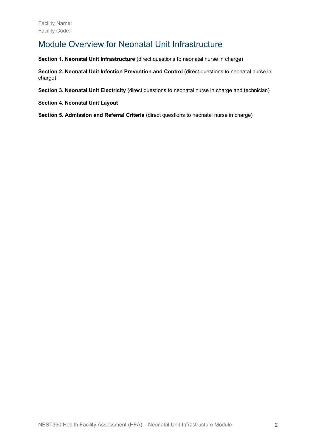## Module Overview for Neonatal Unit Infrastructure

**Section 1. Neonatal Unit Infrastructure** (direct questions to neonatal nurse in charge)

**Section 2. Neonatal Unit Infection Prevention and Control** (direct questions to neonatal nurse in charge)

**Section 3. Neonatal Unit Electricity** (direct questions to neonatal nurse in charge and technician)

**Section 4. Neonatal Unit Layout**

**Section 5. Admission and Referral Criteria** (direct questions to neonatal nurse in charge)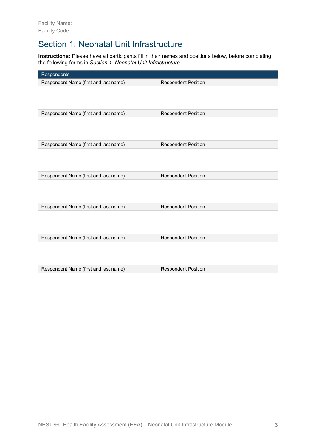# Section 1. Neonatal Unit Infrastructure

**Instructions:** Please have all participants fill in their names and positions below, before completing the following forms in *Section 1. Neonatal Unit Infrastructure*.

| Respondents                           |                            |
|---------------------------------------|----------------------------|
| Respondent Name (first and last name) | <b>Respondent Position</b> |
|                                       |                            |
| Respondent Name (first and last name) | <b>Respondent Position</b> |
|                                       |                            |
| Respondent Name (first and last name) | <b>Respondent Position</b> |
|                                       |                            |
| Respondent Name (first and last name) | <b>Respondent Position</b> |
|                                       |                            |
| Respondent Name (first and last name) | <b>Respondent Position</b> |
|                                       |                            |
| Respondent Name (first and last name) | <b>Respondent Position</b> |
|                                       |                            |
| Respondent Name (first and last name) | <b>Respondent Position</b> |
|                                       |                            |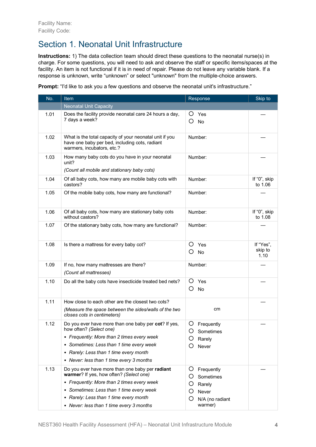# Section 1. Neonatal Unit Infrastructure

**Instructions:** 1) The data collection team should direct these questions to the neonatal nurse(s) in charge. For some questions, you will need to ask and observe the staff or specific items/spaces at the facility. An item is not functional if it is in need of repair. Please do not leave any variable blank. If a response is unknown, write "unknown" or select "unknown" from the multiple-choice answers.

**Prompt:** "I'd like to ask you a few questions and observe the neonatal unit's infrastructure."

| No.  | Item                                                                                                                                    | Response                          | Skip to                      |
|------|-----------------------------------------------------------------------------------------------------------------------------------------|-----------------------------------|------------------------------|
|      | <b>Neonatal Unit Capacity</b>                                                                                                           |                                   |                              |
| 1.01 | Does the facility provide neonatal care 24 hours a day,<br>7 days a week?                                                               | O<br>Yes<br>O<br>No               |                              |
| 1.02 | What is the total capacity of your neonatal unit if you<br>have one baby per bed, including cots, radiant<br>warmers, incubators, etc.? | Number:                           |                              |
| 1.03 | How many baby cots do you have in your neonatal<br>unit?<br>(Count all mobile and stationary baby cots)                                 | Number:                           |                              |
| 1.04 | Of all baby cots, how many are mobile baby cots with<br>castors?                                                                        | Number:                           | If "0", skip<br>to 1.06      |
| 1.05 | Of the mobile baby cots, how many are functional?                                                                                       | Number:                           |                              |
| 1.06 | Of all baby cots, how many are stationary baby cots<br>without castors?                                                                 | Number:                           | If "0", skip<br>to 1.08      |
| 1.07 | Of the stationary baby cots, how many are functional?                                                                                   | Number:                           |                              |
| 1.08 | Is there a mattress for every baby cot?                                                                                                 | Ő<br>Yes<br>( )<br>No             | If "Yes",<br>skip to<br>1.10 |
| 1.09 | If no, how many mattresses are there?<br>(Count all mattresses)                                                                         | Number:                           |                              |
| 1.10 | Do all the baby cots have insecticide treated bed nets?                                                                                 | Ő<br>Yes<br>O<br><b>No</b>        |                              |
| 1.11 | How close to each other are the closest two cots?                                                                                       |                                   |                              |
|      | (Measure the space between the sides/walls of the two<br>closes cots in centimeters)                                                    | cm                                |                              |
| 1.12 | Do you ever have more than one baby per cot? If yes,<br>how often? (Select one)                                                         | Ő<br>Frequently<br>O Sometimes    |                              |
|      | • Frequently: More than 2 times every week<br>Sometimes: Less than 1 time every week                                                    | O<br>Rarely                       |                              |
|      | • Rarely: Less than 1 time every month                                                                                                  | Never                             |                              |
|      | • Never: less than 1 time every 3 months                                                                                                |                                   |                              |
| 1.13 | Do you ever have more than one baby per radiant<br>warmer? If yes, how often? (Select one)                                              | Ő<br>Frequently<br>Ő<br>Sometimes |                              |
|      | • Frequently: More than 2 times every week                                                                                              | Rarely                            |                              |
|      | • Sometimes: Less than 1 time every week                                                                                                | Ö<br><b>Never</b>                 |                              |
|      | • Rarely: Less than 1 time every month                                                                                                  | O<br>N/A (no radiant              |                              |
|      | • Never: less than 1 time every 3 months                                                                                                | warmer)                           |                              |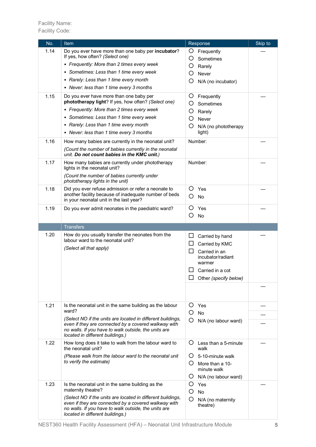| No.  | <b>Item</b>                                                                                                                                      | Response                            | Skip to |
|------|--------------------------------------------------------------------------------------------------------------------------------------------------|-------------------------------------|---------|
| 1.14 | Do you ever have more than one baby per incubator?                                                                                               | Ő<br>Frequently                     |         |
|      | If yes, how often? (Select one)                                                                                                                  | O<br>Sometimes                      |         |
|      | • Frequently: More than 2 times every week                                                                                                       | O<br>Rarely                         |         |
|      | • Sometimes: Less than 1 time every week                                                                                                         | O<br>Never                          |         |
|      | • Rarely: Less than 1 time every month                                                                                                           | O<br>N/A (no incubator)             |         |
|      | • Never: less than 1 time every 3 months                                                                                                         |                                     |         |
| 1.15 | Do you ever have more than one baby per                                                                                                          | O<br>Frequently                     |         |
|      | phototherapy light? If yes, how often? (Select one)                                                                                              | Ő<br>Sometimes                      |         |
|      | • Frequently: More than 2 times every week                                                                                                       | O<br>Rarely                         |         |
|      | • Sometimes: Less than 1 time every week                                                                                                         | O<br>Never                          |         |
|      | • Rarely: Less than 1 time every month                                                                                                           | O<br>N/A (no phototherapy           |         |
|      | • Never: less than 1 time every 3 months                                                                                                         | light)                              |         |
| 1.16 | How many babies are currently in the neonatal unit?                                                                                              | Number:                             |         |
|      | (Count the number of babies currently in the neonatal<br>unit. Do not count babies in the KMC unit.)                                             |                                     |         |
| 1.17 | How many babies are currently under phototherapy<br>lights in the neonatal unit?                                                                 | Number:                             |         |
|      | (Count the number of babies currently under<br>phototherapy lights in the unit)                                                                  |                                     |         |
| 1.18 | Did you ever refuse admission or refer a neonate to                                                                                              | O<br>Yes                            |         |
|      | another facility because of inadequate number of beds<br>in your neonatal unit in the last year?                                                 | Ο<br>No                             |         |
| 1.19 | Do you ever admit neonates in the paediatric ward?                                                                                               | O<br>Yes                            |         |
|      |                                                                                                                                                  | O<br>No                             |         |
|      | <b>Transfers</b>                                                                                                                                 |                                     |         |
| 1.20 | How do you usually transfer the neonates from the                                                                                                | ப<br>Carried by hand                |         |
|      | labour ward to the neonatal unit?                                                                                                                | Carried by KMC<br>ப                 |         |
|      | (Select all that apply)                                                                                                                          | Carried in an                       |         |
|      |                                                                                                                                                  | incubator/radiant<br>warmer         |         |
|      |                                                                                                                                                  | Carried in a cot                    |         |
|      |                                                                                                                                                  | Other (specify below)               |         |
|      |                                                                                                                                                  |                                     |         |
|      |                                                                                                                                                  |                                     |         |
| 1.21 | Is the neonatal unit in the same building as the labour                                                                                          | $\circ$<br>Yes                      |         |
|      | ward?                                                                                                                                            | O<br><b>No</b>                      |         |
|      | (Select NO if the units are located in different buildings,<br>even if they are connected by a covered walkway with                              | O<br>N/A (no labour ward)           |         |
|      | no walls. If you have to walk outside, the units are<br>located in different buildings.)                                                         |                                     |         |
| 1.22 | How long does it take to walk from the labour ward to<br>the neonatal unit?                                                                      | Ő<br>Less than a 5-minute<br>walk   |         |
|      | (Please walk from the labour ward to the neonatal unit                                                                                           | $\Omega$<br>5-10-minute walk        |         |
|      | to verify the estimate)                                                                                                                          | $\left( \right)$<br>More than a 10- |         |
|      |                                                                                                                                                  | minute walk                         |         |
|      |                                                                                                                                                  | Ő<br>N/A (no labour ward)           |         |
| 1.23 | Is the neonatal unit in the same building as the<br>maternity theatre?                                                                           | O<br>Yes                            |         |
|      | (Select NO if the units are located in different buildings,                                                                                      | O<br><b>No</b>                      |         |
|      | even if they are connected by a covered walkway with<br>no walls. If you have to walk outside, the units are<br>located in different buildings.) | O<br>N/A (no maternity<br>theatre)  |         |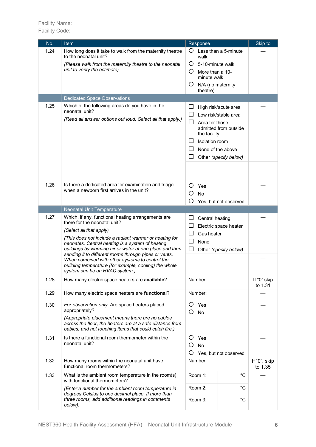| No.  | Item                                                                                                                                                                                                                        | Response                   |                                |                                              | Skip to                |
|------|-----------------------------------------------------------------------------------------------------------------------------------------------------------------------------------------------------------------------------|----------------------------|--------------------------------|----------------------------------------------|------------------------|
| 1.24 | How long does it take to walk from the maternity theatre<br>to the neonatal unit?                                                                                                                                           |                            | walk                           | O Less than a 5-minute                       |                        |
|      | (Please walk from the maternity theatre to the neonatal                                                                                                                                                                     | O                          | 5-10-minute walk               |                                              |                        |
|      | unit to verify the estimate)                                                                                                                                                                                                | O                          | More than a 10-<br>minute walk |                                              |                        |
|      |                                                                                                                                                                                                                             | Ő                          | N/A (no maternity<br>theatre)  |                                              |                        |
|      | <b>Dedicated Space Observations</b>                                                                                                                                                                                         |                            |                                |                                              |                        |
| 1.25 | Which of the following areas do you have in the<br>neonatal unit?                                                                                                                                                           | ப<br>□                     |                                | High risk/acute area<br>Low risk/stable area |                        |
|      | (Read all answer options out loud. Select all that apply.)                                                                                                                                                                  | □                          | Area for those<br>the facility | admitted from outside                        |                        |
|      |                                                                                                                                                                                                                             | ΙI                         | Isolation room                 |                                              |                        |
|      |                                                                                                                                                                                                                             | ப                          |                                | None of the above                            |                        |
|      |                                                                                                                                                                                                                             | ΙI                         |                                | Other (specify below)                        |                        |
|      |                                                                                                                                                                                                                             |                            |                                |                                              |                        |
| 1.26 | Is there a dedicated area for examination and triage                                                                                                                                                                        | O                          | Yes                            |                                              |                        |
|      | when a newborn first arrives in the unit?                                                                                                                                                                                   | Ο                          | No                             |                                              |                        |
|      |                                                                                                                                                                                                                             | O                          |                                | Yes, but not observed                        |                        |
|      | Neonatal Unit Temperature                                                                                                                                                                                                   |                            |                                |                                              |                        |
| 1.27 | Which, if any, functional heating arrangements are<br>there for the neonatal unit?<br>(Select all that apply)<br>(This does not include a radiant warmer or heating for<br>neonates. Central heating is a system of heating | ப<br>ப                     | Central heating                | Electric space heater                        |                        |
|      |                                                                                                                                                                                                                             | ΙI                         | Gas heater                     |                                              |                        |
|      |                                                                                                                                                                                                                             | □                          | None                           |                                              |                        |
|      | buildings by warming air or water at one place and then                                                                                                                                                                     | $\mathsf{L}$               |                                | Other (specify below)                        |                        |
|      | sending it to different rooms through pipes or vents.<br>When combined with other systems to control the<br>building temperature (for example, cooling) the whole                                                           |                            |                                |                                              |                        |
|      | system can be an HVAC system.)                                                                                                                                                                                              |                            |                                |                                              |                        |
| 1.28 | How many electric space heaters are available?                                                                                                                                                                              |                            | Number:                        |                                              | If "0" skip<br>to 1.31 |
| 1.29 | How many electric space heaters are functional?                                                                                                                                                                             |                            | Number:                        |                                              |                        |
| 1.30 | For observation only: Are space heaters placed<br>appropriately?                                                                                                                                                            | Ő<br>Yes<br>O<br><b>No</b> |                                |                                              |                        |
|      | (Appropriate placement means there are no cables<br>across the floor, the heaters are at a safe distance from<br>babies, and not touching items that could catch fire.)                                                     |                            |                                |                                              |                        |
| 1.31 | Is there a functional room thermometer within the<br>neonatal unit?                                                                                                                                                         | O                          | Yes                            |                                              |                        |
|      |                                                                                                                                                                                                                             | O<br>O                     | <b>No</b>                      | Yes, but not observed                        |                        |
| 1.32 | How many rooms within the neonatal unit have                                                                                                                                                                                |                            | Number:                        |                                              | If "0", skip           |
|      | functional room thermometers?                                                                                                                                                                                               |                            |                                |                                              | to 1.35                |
| 1.33 | What is the ambient room temperature in the room(s)<br>with functional thermometers?                                                                                                                                        |                            | Room 1:                        | °C                                           |                        |
|      | (Enter a number for the ambient room temperature in<br>degrees Celsius to one decimal place. If more than                                                                                                                   |                            | Room 2:                        | $^{\circ}C$                                  |                        |
|      | three rooms, add additional readings in comments<br>below).                                                                                                                                                                 |                            | Room 3:                        | °C                                           |                        |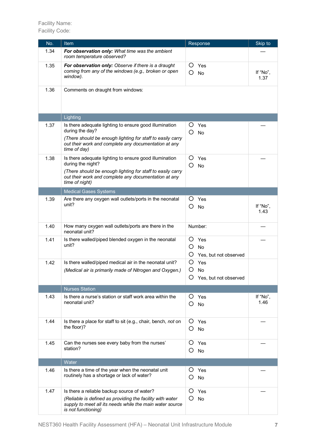| No.  | Item                                                                                                                                         | Response                                          | Skip to          |
|------|----------------------------------------------------------------------------------------------------------------------------------------------|---------------------------------------------------|------------------|
| 1.34 | For observation only: What time was the ambient<br>room temperature observed?                                                                |                                                   |                  |
| 1.35 | For observation only: Observe if there is a draught<br>coming from any of the windows (e.g., broken or open<br>window).                      | O<br>Yes<br>О<br>No                               | If "No",<br>1.37 |
| 1.36 | Comments on draught from windows:                                                                                                            |                                                   |                  |
|      | Lighting                                                                                                                                     |                                                   |                  |
| 1.37 | Is there adequate lighting to ensure good illumination<br>during the day?                                                                    | Ő<br>Yes<br>O<br>No                               |                  |
|      | (There should be enough lighting for staff to easily carry<br>out their work and complete any documentation at any<br>time of day)           |                                                   |                  |
| 1.38 | Is there adequate lighting to ensure good illumination<br>during the night?                                                                  | Ο<br>Yes<br>O<br><b>No</b>                        |                  |
|      | (There should be enough lighting for staff to easily carry<br>out their work and complete any documentation at any<br>time of night)         |                                                   |                  |
|      | <b>Medical Gases Systems</b>                                                                                                                 |                                                   |                  |
| 1.39 | Are there any oxygen wall outlets/ports in the neonatal<br>unit?                                                                             | Ő<br>Yes<br>O<br>No                               | If "No",<br>1.43 |
| 1.40 | How many oxygen wall outlets/ports are there in the<br>neonatal unit?                                                                        | Number:                                           |                  |
| 1.41 | Is there walled/piped blended oxygen in the neonatal<br>unit?                                                                                | O<br>Yes<br>O<br>No<br>Ő<br>Yes, but not observed |                  |
| 1.42 | Is there walled/piped medical air in the neonatal unit?<br>(Medical air is primarily made of Nitrogen and Oxygen.)                           | Yes<br>O<br>O<br>No<br>Yes, but not observed      |                  |
|      | <b>Nurses Station</b>                                                                                                                        |                                                   |                  |
| 1.43 | Is there a nurse's station or staff work area within the<br>neonatal unit?                                                                   | Yes<br>O<br>O<br><b>No</b>                        | If "No",<br>1.46 |
| 1.44 | Is there a place for staff to sit (e.g., chair, bench, not on<br>the floor)?                                                                 | O<br>Yes<br>O<br>No                               |                  |
| 1.45 | Can the nurses see every baby from the nurses'<br>station?                                                                                   | O<br>Yes<br>O<br><b>No</b>                        |                  |
|      | Water                                                                                                                                        |                                                   |                  |
| 1.46 | Is there a time of the year when the neonatal unit<br>routinely has a shortage or lack of water?                                             | Ő<br>Yes<br>Ő<br>No                               |                  |
| 1.47 | Is there a reliable backup source of water?                                                                                                  | Ő<br>Yes                                          |                  |
|      | (Reliable is defined as providing the facility with water<br>supply to meet all its needs while the main water source<br>is not functioning) | No<br>O                                           |                  |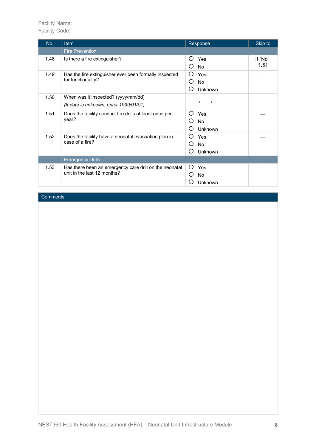| No.  | Item                                                                                  | Response         | Skip to  |
|------|---------------------------------------------------------------------------------------|------------------|----------|
|      | <b>Fire Prevention</b>                                                                |                  |          |
| 1.48 | Is there a fire extinguisher?                                                         | Yes<br>( )       | If "No", |
|      |                                                                                       | <b>No</b><br>( ) | 1.51     |
| 1.49 | Has the fire extinguisher ever been formally inspected                                | Yes<br>O         |          |
|      | for functionality?                                                                    | <b>No</b><br>()  |          |
|      |                                                                                       | Unknown<br>( )   |          |
| 1.50 | When was it inspected? (yyyy/mm/dd)                                                   |                  |          |
|      | (If date is unknown, enter 1999/01/01)                                                |                  |          |
| 1.51 | Does the facility conduct fire drills at least once per<br>year?                      | Yes<br>( )       |          |
|      |                                                                                       | No               |          |
|      |                                                                                       | Unknown          |          |
| 1.52 | Does the facility have a neonatal evacuation plan in                                  | Yes<br>( )       |          |
|      | case of a fire?                                                                       | <b>No</b>        |          |
|      |                                                                                       | Unknown          |          |
|      | <b>Emergency Drills</b>                                                               |                  |          |
| 1.53 | Has there been an emergency care drill on the neonatal<br>unit in the last 12 months? | Yes<br>( )       |          |
|      |                                                                                       | No.              |          |
|      |                                                                                       | Unknown          |          |

## **Comments**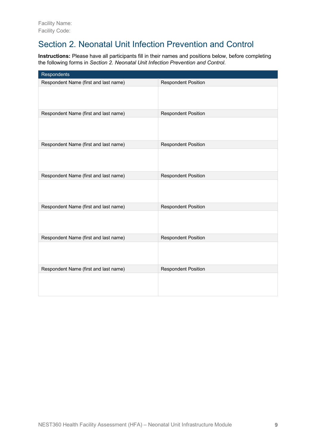## Section 2. Neonatal Unit Infection Prevention and Control

**Instructions:** Please have all participants fill in their names and positions below, before completing the following forms in *Section 2. Neonatal Unit Infection Prevention and Control*.

| Respondents                           |                            |
|---------------------------------------|----------------------------|
| Respondent Name (first and last name) | <b>Respondent Position</b> |
|                                       |                            |
| Respondent Name (first and last name) | <b>Respondent Position</b> |
|                                       |                            |
| Respondent Name (first and last name) | <b>Respondent Position</b> |
|                                       |                            |
| Respondent Name (first and last name) | <b>Respondent Position</b> |
|                                       |                            |
| Respondent Name (first and last name) | <b>Respondent Position</b> |
|                                       |                            |
| Respondent Name (first and last name) | <b>Respondent Position</b> |
|                                       |                            |
| Respondent Name (first and last name) | <b>Respondent Position</b> |
|                                       |                            |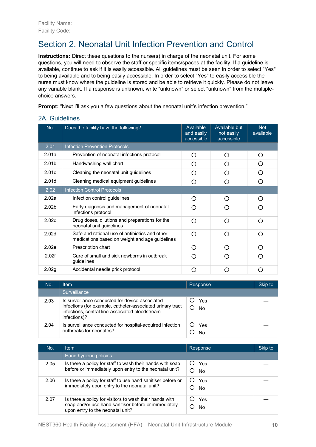## Section 2. Neonatal Unit Infection Prevention and Control

**Instructions:** Direct these questions to the nurse(s) in charge of the neonatal unit. For some questions, you will need to observe the staff or specific items/spaces at the facility. If a guideline is available, continue to ask if it is easily accessible. All guidelines must be seen in order to select "Yes" to being available and to being easily accessible. In order to select "Yes" to easily accessible the nurse must know where the guideline is stored and be able to retrieve it quickly. Please do not leave any variable blank. If a response is unknown, write "unknown" or select "unknown" from the multiplechoice answers.

**Prompt:** "Next I'll ask you a few questions about the neonatal unit's infection prevention."

| 2A. Guidelines |  |  |  |
|----------------|--|--|--|
|                |  |  |  |

| No.               | Does the facility have the following?                                                            | Available<br>and easily<br>accessible | Available but<br>not easily<br>accessible | <b>Not</b><br>available |
|-------------------|--------------------------------------------------------------------------------------------------|---------------------------------------|-------------------------------------------|-------------------------|
| 2.01              | <b>Infection Prevention Protocols</b>                                                            |                                       |                                           |                         |
| 2.01a             | Prevention of neonatal infections protocol                                                       | O                                     | ∩                                         | ∩                       |
| 2.01 <sub>b</sub> | Handwashing wall chart                                                                           | ∩                                     | Ω                                         | ∩                       |
| 2.01c             | Cleaning the neonatal unit guidelines                                                            | ◯                                     | ( )                                       | ( )                     |
| 2.01 <sub>d</sub> | Cleaning medical equipment guidelines                                                            | ∩                                     | ∩                                         | ∩                       |
| 2.02              | <b>Infection Control Protocols</b>                                                               |                                       |                                           |                         |
| 2.02a             | Infection control guidelines                                                                     | ∩                                     | ∩                                         | ∩                       |
| 2.02 <sub>b</sub> | Early diagnosis and management of neonatal<br>infections protocol                                | ∩                                     |                                           |                         |
| 2.02c             | Drug doses, dilutions and preparations for the<br>neonatal unit guidelines                       | ∩                                     | ∩                                         | ∩                       |
| 2.02 <sub>d</sub> | Safe and rational use of antibiotics and other<br>medications based on weight and age guidelines | ∩                                     | ∩                                         | ∩                       |
| 2.02e             | Prescription chart                                                                               | ◯                                     | ∩                                         | ∩                       |
| 2.02f             | Care of small and sick newborns in outbreak<br>guidelines                                        | ∩                                     |                                           |                         |
| 2.02g             | Accidental needle prick protocol                                                                 | ∩                                     | ( )                                       | 〔 〕                     |

| No.  | Item                                                                                                                                                                             | Response  | Skip to |
|------|----------------------------------------------------------------------------------------------------------------------------------------------------------------------------------|-----------|---------|
|      | Surveillance                                                                                                                                                                     |           |         |
| 2.03 | Is surveillance conducted for device-associated<br>infections (for example, catheter-associated urinary tract<br>infections, central line-associated bloodstream<br>infections)? | Yes<br>No |         |
| 2.04 | Is surveillance conducted for hospital-acquired infection<br>outbreaks for neonates?                                                                                             | Yes<br>N٥ |         |

| No.  | <b>Item</b>                                                                                                                                         | Response  | Skip to |
|------|-----------------------------------------------------------------------------------------------------------------------------------------------------|-----------|---------|
|      | Hand hygiene policies                                                                                                                               |           |         |
| 2.05 | Is there a policy for staff to wash their hands with soap<br>before or immediately upon entry to the neonatal unit?                                 | Yes<br>No |         |
| 2.06 | Is there a policy for staff to use hand sanitiser before or<br>immediately upon entry to the neonatal unit?                                         | Yes<br>No |         |
| 2.07 | Is there a policy for visitors to wash their hands with<br>soap and/or use hand sanitiser before or immediately<br>upon entry to the neonatal unit? | Yes<br>No |         |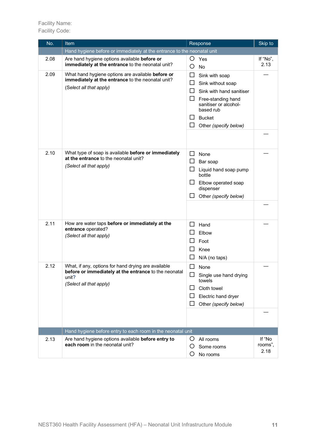| No.  | <b>Item</b>                                                                                                                                      | Response                                                                                                                                                                                             | Skip to                   |
|------|--------------------------------------------------------------------------------------------------------------------------------------------------|------------------------------------------------------------------------------------------------------------------------------------------------------------------------------------------------------|---------------------------|
|      | Hand hygiene before or immediately at the entrance to the neonatal unit                                                                          |                                                                                                                                                                                                      |                           |
| 2.08 | Are hand hygiene options available before or<br>immediately at the entrance to the neonatal unit?                                                | O<br>Yes<br>O<br><b>No</b>                                                                                                                                                                           | If "No",<br>2.13          |
| 2.09 | What hand hygiene options are available before or<br>immediately at the entrance to the neonatal unit?<br>(Select all that apply)                | ⊔<br>Sink with soap<br>ப<br>Sink without soap<br>$\mathsf{L}$<br>Sink with hand sanitiser<br>ப<br>Free-standing hand<br>sanitiser or alcohol-<br>based rub<br><b>Bucket</b><br>Other (specify below) |                           |
| 2.10 | What type of soap is available before or immediately<br>at the entrance to the neonatal unit?<br>(Select all that apply)                         | □<br>None<br>ப<br>Bar soap<br>ப<br>Liquid hand soap pump<br>bottle<br>ப<br>Elbow operated soap<br>dispenser<br>Other (specify below)                                                                 |                           |
| 2.11 | How are water taps before or immediately at the<br>entrance operated?<br>(Select all that apply)                                                 | $\mathsf{L}$<br>Hand<br>Elbow<br>Foot<br>Knee<br>N/A (no taps)                                                                                                                                       |                           |
| 2.12 | What, if any, options for hand drying are available<br>before or immediately at the entrance to the neonatal<br>unit?<br>(Select all that apply) | None<br>ப<br>$\Box$ Single use hand drying<br>towels<br>Cloth towel<br>Electric hand dryer<br>⊔<br>Other (specify below)                                                                             |                           |
|      | Hand hygiene before entry to each room in the neonatal unit                                                                                      |                                                                                                                                                                                                      |                           |
| 2.13 | Are hand hygiene options available before entry to<br>each room in the neonatal unit?                                                            | Ő<br>All rooms<br>Ő<br>Some rooms<br>Ő<br>No rooms                                                                                                                                                   | If "No<br>rooms",<br>2.18 |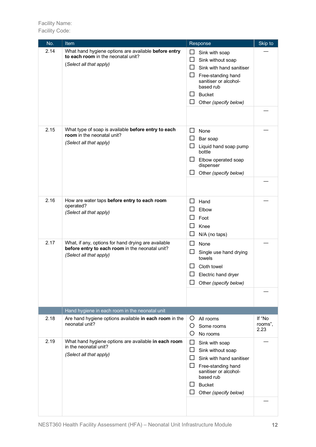| No.  | <u>Item</u>                                                                                                                       | Response                                                                                                                                                                                                 | Skip to                   |
|------|-----------------------------------------------------------------------------------------------------------------------------------|----------------------------------------------------------------------------------------------------------------------------------------------------------------------------------------------------------|---------------------------|
| 2.14 | What hand hygiene options are available before entry<br>to each room in the neonatal unit?<br>(Select all that apply)             | $\Box$<br>Sink with soap<br>$\Box$<br>Sink without soap<br>⊔<br>Sink with hand sanitiser<br>ப<br>Free-standing hand<br>sanitiser or alcohol-<br>based rub<br><b>Bucket</b><br>ப<br>Other (specify below) |                           |
| 2.15 | What type of soap is available before entry to each<br>room in the neonatal unit?<br>(Select all that apply)                      | ⊔<br>None<br>ப<br>Bar soap<br>ப<br>Liquid hand soap pump<br>bottle<br>Elbow operated soap<br>ப<br>dispenser<br>Other (specify below)                                                                     |                           |
| 2.16 | How are water taps before entry to each room<br>operated?<br>(Select all that apply)                                              | Hand<br>ΙI<br>Elbow<br>Foot<br>Knee<br>ப<br>N/A (no taps)                                                                                                                                                |                           |
| 2.17 | What, if any, options for hand drying are available<br>before entry to each room in the neonatal unit?<br>(Select all that apply) | ⊔<br>None<br>ப<br>Single use hand drying<br>towels<br>Cloth towel<br>Electric hand dryer<br>Other (specify below)                                                                                        |                           |
|      | Hand hygiene in each room in the neonatal unit                                                                                    |                                                                                                                                                                                                          |                           |
| 2.18 | Are hand hygiene options available in each room in the<br>neonatal unit?                                                          | O<br>All rooms<br>O<br>Some rooms<br>O<br>No rooms                                                                                                                                                       | If "No<br>rooms",<br>2.23 |
| 2.19 | What hand hygiene options are available in each room<br>in the neonatal unit?<br>(Select all that apply)                          | ப<br>Sink with soap<br>ப<br>Sink without soap<br>Sink with hand sanitiser<br>ப<br>Free-standing hand<br>sanitiser or alcohol-<br>based rub<br><b>Bucket</b><br>Other (specify below)                     |                           |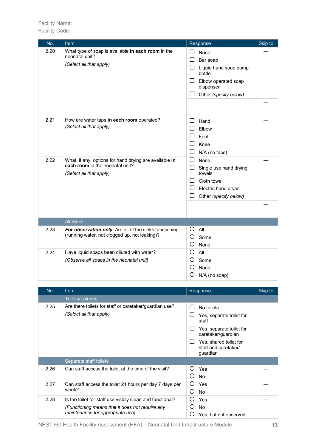| No.  | Item                                                                                                                 | Response                                                                                                                                          | Skip to |
|------|----------------------------------------------------------------------------------------------------------------------|---------------------------------------------------------------------------------------------------------------------------------------------------|---------|
| 2.20 | What type of soap is available in each room in the<br>neonatal unit?<br>(Select all that apply)                      | None<br>ΙI<br>ΙI<br>Bar soap<br>ப<br>Liquid hand soap pump<br>bottle<br>Elbow operated soap<br>$\mathsf{L}$<br>dispenser<br>Other (specify below) |         |
| 2.21 | How are water taps in each room operated?<br>(Select all that apply)                                                 | ப<br>Hand<br>Elbow<br>Foot<br>Knee<br>ப<br>N/A (no taps)                                                                                          |         |
| 2.22 | What, if any, options for hand drying are available in<br>each room in the neonatal unit?<br>(Select all that apply) | □<br>None<br>П<br>Single use hand drying<br>towels<br>Cloth towel<br>ΙI<br>Electric hand dryer<br>ப<br>ΙI<br>Other (specify below)                |         |
|      | <b>All Sinks</b>                                                                                                     |                                                                                                                                                   |         |
| 2.23 | For observation only: Are all of the sinks functioning<br>(running water, not clogged up, not leaking)?              | O<br>All<br>O<br>Some<br>O<br>None                                                                                                                |         |
| 2.24 | Have liquid soaps been diluted with water?<br>(Observe all soaps in the neonatal unit)                               | O<br>All<br>O<br>Some<br>O<br>None<br>Ő<br>N/A (no soap)                                                                                          |         |

| No.  | Item                                                                                                                                             | Response                                                                                                                                                        | Skip to |
|------|--------------------------------------------------------------------------------------------------------------------------------------------------|-----------------------------------------------------------------------------------------------------------------------------------------------------------------|---------|
|      | <b>Toilets/Latrines</b>                                                                                                                          |                                                                                                                                                                 |         |
| 2.25 | Are there toilets for staff or caretaker/guardian use?<br>(Select all that apply)                                                                | No toilets<br>Yes, separate toilet for<br>staff<br>Yes, separate toilet for<br>caretaker/guardian<br>Yes, shared toilet for<br>staff and caretaker/<br>guardian |         |
|      | Separate staff toilets                                                                                                                           |                                                                                                                                                                 |         |
| 2.26 | Can staff access the toilet at the time of the visit?                                                                                            | Yes<br>()<br>No                                                                                                                                                 |         |
| 2.27 | Can staff access the toilet 24 hours per day 7 days per<br>week?                                                                                 | Yes<br>No<br>( )                                                                                                                                                |         |
| 2.28 | Is the toilet for staff use visibly clean and functional?<br>(Functioning means that it does not require any<br>maintenance for appropriate use) | Yes<br>No<br>Yes, but not observed                                                                                                                              |         |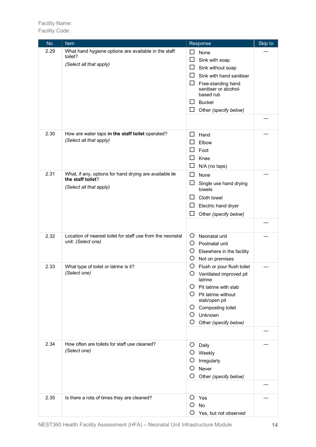| No.  | Item                                                                                                   | Response                                                                                                                                                                                                                                  | Skip to |
|------|--------------------------------------------------------------------------------------------------------|-------------------------------------------------------------------------------------------------------------------------------------------------------------------------------------------------------------------------------------------|---------|
| 2.29 | What hand hygiene options are available in the staff<br>toilet?<br>(Select all that apply)             | □<br>None<br>□<br>Sink with soap<br>$\Box$<br>Sink without soap<br>□<br>Sink with hand sanitiser<br>$\Box$<br>Free-standing hand<br>sanitiser or alcohol-<br>based rub<br><b>Bucket</b><br>ப<br>$\Box$<br>Other (specify below)           |         |
| 2.30 | How are water taps in the staff toilet operated?<br>(Select all that apply)                            | ⊔<br>Hand<br>ப<br>Elbow<br>Foot<br>ப<br>□<br>Knee<br>ப<br>N/A (no taps)                                                                                                                                                                   |         |
| 2.31 | What, if any, options for hand drying are available in<br>the staff toilet?<br>(Select all that apply) | ப<br>None<br>ப<br>Single use hand drying<br>towels<br>Cloth towel<br>ப<br>ப<br>Electric hand dryer<br>ப<br>Other (specify below)                                                                                                          |         |
| 2.32 | Location of nearest toilet for staff use from the neonatal<br>unit: (Select one)                       | Neonatal unit<br>O<br>O.<br>Postnatal unit<br>Ő<br>Elsewhere in the facility<br>O<br>Not on premises                                                                                                                                      |         |
| 2.33 | What type of toilet or latrine is it?<br>(Select one)                                                  | O<br>Flush or pour flush toilet<br>Ο<br>Ventilated improved pit<br>latrine<br>Pit latrine with slab<br>O<br>$\mathcal{O}$<br>Pit latrine without<br>slab/open pit<br>Composting toilet<br>Ő<br>Unknown<br>O<br>Ő<br>Other (specify below) |         |
| 2.34 | How often are toilets for staff use cleaned?<br>(Select one)                                           | Daily<br>Ő<br>O<br>Weekly<br>Ő<br>Irregularly<br>O<br>Never<br>Ő<br>Other (specify below)                                                                                                                                                 |         |
| 2.35 | Is there a rota of times they are cleaned?                                                             | Yes<br>O<br>O<br>No<br>Ö<br>Yes, but not observed                                                                                                                                                                                         |         |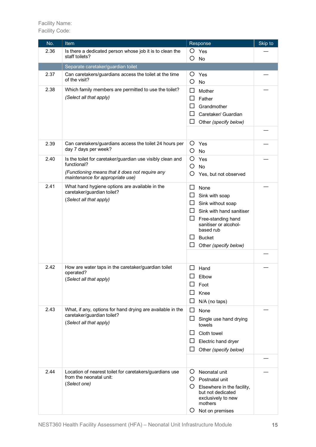| No.  | Item                                                                                     |              | Response                            | Skip to |
|------|------------------------------------------------------------------------------------------|--------------|-------------------------------------|---------|
| 2.36 | Is there a dedicated person whose job it is to clean the                                 | $\circ$      | Yes                                 |         |
|      | staff toilets?                                                                           | O            | No                                  |         |
|      | Separate caretaker/guardian toilet                                                       |              |                                     |         |
| 2.37 | Can caretakers/guardians access the toilet at the time                                   | O            | Yes                                 |         |
|      | of the visit?                                                                            | O            | No                                  |         |
| 2.38 | Which family members are permitted to use the toilet?                                    | ப            | Mother                              |         |
|      | (Select all that apply)                                                                  | $\mathsf{L}$ | Father                              |         |
|      |                                                                                          |              | Grandmother                         |         |
|      |                                                                                          | $\mathsf{L}$ | Caretaker/ Guardian                 |         |
|      |                                                                                          | ப            | Other (specify below)               |         |
|      |                                                                                          |              |                                     |         |
|      |                                                                                          |              |                                     |         |
| 2.39 | Can caretakers/guardians access the toilet 24 hours per                                  | O            | Yes                                 |         |
|      | day 7 days per week?                                                                     | O            | No                                  |         |
| 2.40 | Is the toilet for caretaker/guardian use visibly clean and                               | O            | Yes                                 |         |
|      | functional?                                                                              | O            | <b>No</b>                           |         |
|      | (Functioning means that it does not require any<br>maintenance for appropriate use)      | Ő            | Yes, but not observed               |         |
| 2.41 | What hand hygiene options are available in the                                           | ⊔            |                                     |         |
|      | caretaker/guardian toilet?                                                               | ப            | None                                |         |
|      | (Select all that apply)                                                                  | ப            | Sink with soap<br>Sink without soap |         |
|      |                                                                                          | ⊔            | Sink with hand sanitiser            |         |
|      |                                                                                          | ப            | Free-standing hand                  |         |
|      |                                                                                          |              | sanitiser or alcohol-               |         |
|      |                                                                                          |              | based rub                           |         |
|      |                                                                                          | ப            | <b>Bucket</b>                       |         |
|      |                                                                                          | ப            | Other (specify below)               |         |
|      |                                                                                          |              |                                     |         |
| 2.42 | How are water taps in the caretaker/guardian toilet                                      |              | Hand                                |         |
|      | operated?<br>(Select all that apply)                                                     | $\Box$       |                                     |         |
|      |                                                                                          |              | Elbow                               |         |
|      |                                                                                          |              | Foot                                |         |
|      |                                                                                          |              | Knee                                |         |
|      |                                                                                          |              | N/A (no taps)                       |         |
| 2.43 | What, if any, options for hand drying are available in the<br>caretaker/guardian toilet? | $\Box$       | None                                |         |
|      | (Select all that apply)                                                                  | ⊔            | Single use hand drying              |         |
|      |                                                                                          |              | towels                              |         |
|      |                                                                                          | ப            | Cloth towel                         |         |
|      |                                                                                          | ப            | Electric hand dryer                 |         |
|      |                                                                                          | ப            | Other (specify below)               |         |
|      |                                                                                          |              |                                     |         |
| 2.44 | Location of nearest toilet for caretakers/guardians use                                  | O            | Neonatal unit                       |         |
|      | from the neonatal unit:                                                                  | Ő            | Postnatal unit                      |         |
|      | (Select one)                                                                             | Ő            | Elsewhere in the facility,          |         |
|      |                                                                                          |              | but not dedicated                   |         |
|      |                                                                                          |              | exclusively to new<br>mothers       |         |
|      |                                                                                          | Ő            | Not on premises                     |         |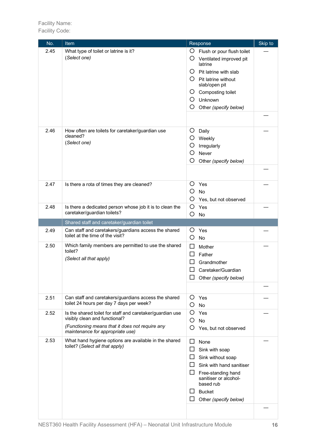| No.  | Item                                                                                     | Skip to<br>Response                      |
|------|------------------------------------------------------------------------------------------|------------------------------------------|
| 2.45 | What type of toilet or latrine is it?                                                    | Ő<br>Flush or pour flush toilet          |
|      | (Select one)                                                                             | Ő<br>Ventilated improved pit<br>latrine  |
|      |                                                                                          | $\circ$<br>Pit latrine with slab         |
|      |                                                                                          | $O$ Pit latrine without<br>slab/open pit |
|      |                                                                                          | Composting toilet<br>Ő                   |
|      |                                                                                          | Unknown<br>Ő                             |
|      |                                                                                          | O<br>Other (specify below)               |
|      |                                                                                          |                                          |
| 2.46 | How often are toilets for caretaker/guardian use                                         | O<br>Daily                               |
|      | cleaned?                                                                                 | O<br>Weekly                              |
|      | (Select one)                                                                             | O<br>Irregularly                         |
|      |                                                                                          | O<br>Never                               |
|      |                                                                                          | Ő<br>Other (specify below)               |
|      |                                                                                          |                                          |
|      |                                                                                          |                                          |
| 2.47 | Is there a rota of times they are cleaned?                                               | O<br>Yes                                 |
|      |                                                                                          | O<br><b>No</b>                           |
|      |                                                                                          | O<br>Yes, but not observed               |
| 2.48 | Is there a dedicated person whose job it is to clean the                                 | O<br>Yes                                 |
|      | caretaker/guardian toilets?                                                              | O<br>No                                  |
|      | Shared staff and caretaker/guardian toilet                                               |                                          |
| 2.49 | Can staff and caretakers/guardians access the shared<br>toilet at the time of the visit? | Ő<br>Yes<br>O<br>No                      |
| 2.50 | Which family members are permitted to use the shared                                     | ⊔<br>Mother                              |
|      | toilet?                                                                                  | Father                                   |
|      | (Select all that apply)                                                                  | Grandmother                              |
|      |                                                                                          | Caretaker/Guardian                       |
|      |                                                                                          | Other (specify below)                    |
|      |                                                                                          |                                          |
| 2.51 | Can staff and caretakers/guardians access the shared                                     | O<br>Yes                                 |
|      | toilet 24 hours per day 7 days per week?                                                 | O<br>No                                  |
| 2.52 | Is the shared toilet for staff and caretaker/guardian use                                | O<br>Yes                                 |
|      | visibly clean and functional?                                                            | O<br>No                                  |
|      | (Functioning means that it does not require any<br>maintenance for appropriate use)      | O<br>Yes, but not observed               |
| 2.53 | What hand hygiene options are available in the shared                                    | None<br>ப                                |
|      | toilet? (Select all that apply)                                                          | $\Box$<br>Sink with soap                 |
|      |                                                                                          | ப<br>Sink without soap                   |
|      |                                                                                          | ப<br>Sink with hand sanitiser            |
|      |                                                                                          | ப<br>Free-standing hand                  |
|      |                                                                                          | sanitiser or alcohol-<br>based rub       |
|      |                                                                                          | <b>Bucket</b>                            |
|      |                                                                                          | Other (specify below)                    |
|      |                                                                                          |                                          |
|      |                                                                                          |                                          |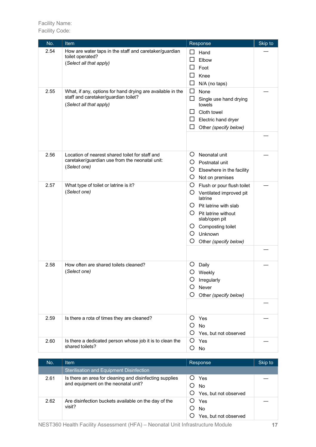| No.  | Item                                                                                                                          | Response                                                                                                                                                                                                                            | Skip to |
|------|-------------------------------------------------------------------------------------------------------------------------------|-------------------------------------------------------------------------------------------------------------------------------------------------------------------------------------------------------------------------------------|---------|
| 2.54 | How are water taps in the staff and caretaker/guardian<br>toilet operated?<br>(Select all that apply)                         | $\mathsf{L}$<br>Hand<br>Elbow<br>Foot<br>Knee<br>$\Box$<br>N/A (no taps)                                                                                                                                                            |         |
| 2.55 | What, if any, options for hand drying are available in the<br>staff and caretaker/guardian toilet?<br>(Select all that apply) | $\Box$<br>None<br>$\Box$<br>Single use hand drying<br>towels<br>Cloth towel<br>ΙI<br>ப<br>Electric hand dryer<br>Other (specify below)                                                                                              |         |
| 2.56 | Location of nearest shared toilet for staff and<br>caretaker/guardian use from the neonatal unit:<br>(Select one)             | O<br>Neonatal unit<br>Ő<br>Postnatal unit<br>O<br>Elsewhere in the facility<br>O<br>Not on premises                                                                                                                                 |         |
| 2.57 | What type of toilet or latrine is it?<br>(Select one)                                                                         | O<br>Flush or pour flush toilet<br>Ő<br>Ventilated improved pit<br>latrine<br>$\circ$<br>Pit latrine with slab<br>Pit latrine without<br>Ő<br>slab/open pit<br>Composting toilet<br>Ő<br>O<br>Unknown<br>Ő<br>Other (specify below) |         |
| 2.58 | How often are shared toilets cleaned?<br>(Select one)                                                                         | Ő<br>Daily<br>Ο<br>Weekly<br>Irregularly<br>Ő<br>Never<br>O<br>Other (specify below)                                                                                                                                                |         |
| 2.59 | Is there a rota of times they are cleaned?                                                                                    | Yes<br>Ő<br>O<br>No<br>O<br>Yes, but not observed                                                                                                                                                                                   |         |
| 2.60 | Is there a dedicated person whose job it is to clean the<br>shared toilets?                                                   | O<br>Yes<br>O<br>No                                                                                                                                                                                                                 |         |

| No.  | <b>Item</b>                                                                                    | <b>Response</b>                    | Skip to |
|------|------------------------------------------------------------------------------------------------|------------------------------------|---------|
|      | Sterilisation and Equipment Disinfection                                                       |                                    |         |
| 2.61 | Is there an area for cleaning and disinfecting supplies<br>and equipment on the neonatal unit? | Yes<br>No<br>Yes, but not observed |         |
| 2.62 | Are disinfection buckets available on the day of the<br>visit?                                 | Yes<br>No<br>Yes, but not observed |         |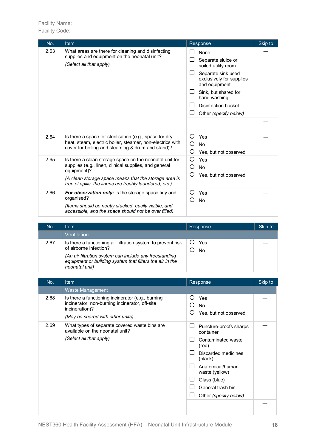| No.  | Item                                                                                                                                                                                                                                                | Response                                                                                                                                                                                                               | Skip to |
|------|-----------------------------------------------------------------------------------------------------------------------------------------------------------------------------------------------------------------------------------------------------|------------------------------------------------------------------------------------------------------------------------------------------------------------------------------------------------------------------------|---------|
| 2.63 | What areas are there for cleaning and disinfecting<br>supplies and equipment on the neonatal unit?<br>(Select all that apply)                                                                                                                       | None<br>Separate sluice or<br>soiled utility room<br>Separate sink used<br>exclusively for supplies<br>and equipment<br>Sink, but shared for<br>$\Box$<br>hand washing<br>Disinfection bucket<br>Other (specify below) |         |
|      |                                                                                                                                                                                                                                                     |                                                                                                                                                                                                                        |         |
| 2.64 | Is there a space for sterilisation (e.g., space for dry<br>heat, steam, electric boiler, steamer, non-electrics with<br>cover for boiling and steaming & drum and stand)?                                                                           | ∩<br>Yes<br><b>No</b><br>( )<br>O<br>Yes, but not observed                                                                                                                                                             |         |
| 2.65 | Is there a clean storage space on the neonatal unit for<br>supplies (e.g., linen, clinical supplies, and general<br>equipment)?<br>(A clean storage space means that the storage area is<br>free of spills, the linens are freshly laundered, etc.) | Yes<br>( )<br><b>No</b><br>O<br>$\left( \right)$<br>Yes, but not observed                                                                                                                                              |         |
| 2.66 | <b>For observation only:</b> Is the storage space tidy and<br>organised?<br>(Items should be neatly stacked, easily visible, and<br>accessible, and the space should not be over filled)                                                            | ( )<br>Yes<br><b>No</b>                                                                                                                                                                                                |         |

| No.  | Item                                                                                                                                                                                                                           | Response  | Skip to |
|------|--------------------------------------------------------------------------------------------------------------------------------------------------------------------------------------------------------------------------------|-----------|---------|
|      | Ventilation                                                                                                                                                                                                                    |           |         |
| 2.67 | Is there a functioning air filtration system to prevent risk<br>of airborne infection?<br>(An air filtration system can include any freestanding<br>equipment or building system that filters the air in the<br>neonatal unit) | Yes<br>No |         |

| No.  | <b>Item</b>                                                                                                                                               | Response                                                                                                                                                                                                 | Skip to |
|------|-----------------------------------------------------------------------------------------------------------------------------------------------------------|----------------------------------------------------------------------------------------------------------------------------------------------------------------------------------------------------------|---------|
|      | <b>Waste Management</b>                                                                                                                                   |                                                                                                                                                                                                          |         |
| 2.68 | Is there a functioning incinerator (e.g., burning<br>incinerator, non-burning incinerator, off-site<br>incineration)?<br>(May be shared with other units) | O<br>Yes<br>O<br><b>No</b><br>∩<br>Yes, but not observed                                                                                                                                                 |         |
| 2.69 | What types of separate covered waste bins are<br>available on the neonatal unit?<br>(Select all that apply)                                               | Puncture-proofs sharps<br>container<br>Contaminated waste<br>(red)<br>Discarded medicines<br>(black)<br>Anatomical/human<br>waste (yellow)<br>Glass (blue)<br>General trash bin<br>Other (specify below) |         |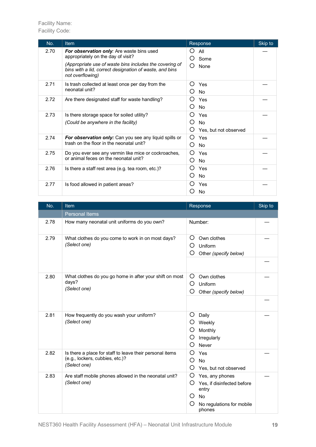| No.  | <b>Item</b>                                                                                                                            | Response                                                                  | Skip to |
|------|----------------------------------------------------------------------------------------------------------------------------------------|---------------------------------------------------------------------------|---------|
| 2.70 | For observation only: Are waste bins used<br>appropriately on the day of visit?                                                        | All<br>$\mathcal{L}$<br>O<br>Some                                         |         |
|      | (Appropriate use of waste bins includes the covering of<br>bins with a lid, correct designation of waste, and bins<br>not overflowing) | ∩<br>None                                                                 |         |
| 2.71 | Is trash collected at least once per day from the<br>neonatal unit?                                                                    | $\left( \right)$<br>Yes<br>No                                             |         |
| 2.72 | Are there designated staff for waste handling?                                                                                         | Yes<br>O<br><b>No</b>                                                     |         |
| 2.73 | Is there storage space for soiled utility?<br>(Could be anywhere in the facility)                                                      | $\left( \right)$<br>Yes<br><b>No</b><br>( )<br>Ő<br>Yes, but not observed |         |
| 2.74 | For observation only: Can you see any liquid spills or<br>trash on the floor in the neonatal unit?                                     | $\left( \right)$<br>Yes<br>$\left( \right)$<br><b>No</b>                  |         |
| 2.75 | Do you ever see any vermin like mice or cockroaches,<br>or animal feces on the neonatal unit?                                          | ∩<br>Yes<br>O<br><b>No</b>                                                |         |
| 2.76 | Is there a staff rest area (e.g. tea room, etc.)?                                                                                      | $\left( \right)$<br>Yes<br>O<br><b>No</b>                                 |         |
| 2.77 | Is food allowed in patient areas?                                                                                                      | Yes<br>No                                                                 |         |

| No.  | <b>Item</b>                                                                                                 | Response                                                                                                                       | Skip to |
|------|-------------------------------------------------------------------------------------------------------------|--------------------------------------------------------------------------------------------------------------------------------|---------|
|      | <b>Personal Items</b>                                                                                       |                                                                                                                                |         |
| 2.78 | How many neonatal unit uniforms do you own?                                                                 | Number:                                                                                                                        |         |
| 2.79 | What clothes do you come to work in on most days?<br>(Select one)                                           | O<br>Own clothes<br>O<br>Uniform<br>O<br>Other (specify below)                                                                 |         |
|      |                                                                                                             |                                                                                                                                |         |
| 2.80 | What clothes do you go home in after your shift on most<br>days?<br>(Select one)                            | O<br>Own clothes<br>O<br>Uniform<br>O<br>Other (specify below)                                                                 |         |
|      |                                                                                                             |                                                                                                                                |         |
| 2.81 | How frequently do you wash your uniform?<br>(Select one)                                                    | Ő<br>Daily<br>Weekly<br>Ő<br>O<br>Monthly<br>O<br>Irregularly<br>O<br>Never                                                    |         |
| 2.82 | Is there a place for staff to leave their personal items<br>(e.g., lockers, cubbies, etc.)?<br>(Select one) | O<br>Yes<br>O<br><b>No</b><br>O<br>Yes, but not observed                                                                       |         |
| 2.83 | Are staff mobile phones allowed in the neonatal unit?<br>(Select one)                                       | O<br>Yes, any phones<br>Yes, if disinfected before<br>Ő<br>entry<br>O<br><b>No</b><br>O<br>No regulations for mobile<br>phones |         |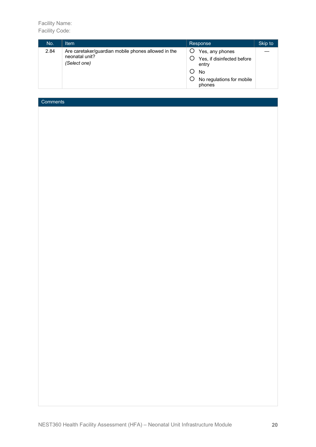| No.  | Item                                                                                  | Response                                                                                                   | Skip to |
|------|---------------------------------------------------------------------------------------|------------------------------------------------------------------------------------------------------------|---------|
| 2.84 | Are caretaker/guardian mobile phones allowed in the<br>neonatal unit?<br>(Select one) | Yes, any phones<br>Yes, if disinfected before<br>entry<br><b>No</b><br>No regulations for mobile<br>phones |         |

# **Comments**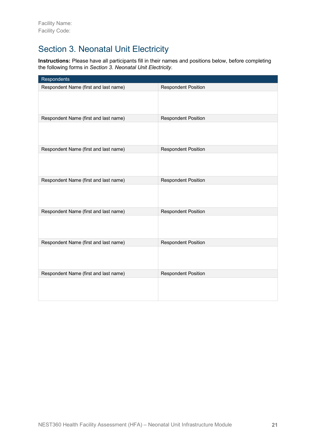# Section 3. Neonatal Unit Electricity

**Instructions:** Please have all participants fill in their names and positions below, before completing the following forms in *Section 3. Neonatal Unit Electricity*.

| <b>Respondents</b>                    |                            |
|---------------------------------------|----------------------------|
| Respondent Name (first and last name) | <b>Respondent Position</b> |
|                                       |                            |
| Respondent Name (first and last name) | <b>Respondent Position</b> |
|                                       |                            |
| Respondent Name (first and last name) | <b>Respondent Position</b> |
|                                       |                            |
| Respondent Name (first and last name) | <b>Respondent Position</b> |
|                                       |                            |
| Respondent Name (first and last name) | <b>Respondent Position</b> |
|                                       |                            |
| Respondent Name (first and last name) | <b>Respondent Position</b> |
|                                       |                            |
| Respondent Name (first and last name) | <b>Respondent Position</b> |
|                                       |                            |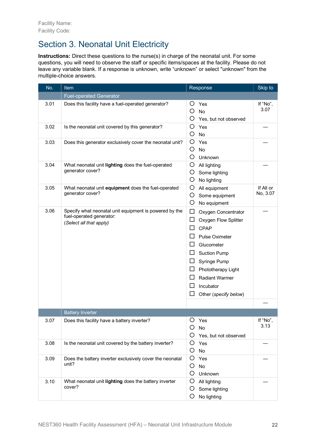# Section 3. Neonatal Unit Electricity

**Instructions:** Direct these questions to the nurse(s) in charge of the neonatal unit. For some questions, you will need to observe the staff or specific items/spaces at the facility. Please do not leave any variable blank. If a response is unknown, write "unknown" or select "unknown" from the multiple-choice answers.

| No.  | Item                                                                                                          | Response                                                                                                                                                                                                                                                                           | Skip to               |
|------|---------------------------------------------------------------------------------------------------------------|------------------------------------------------------------------------------------------------------------------------------------------------------------------------------------------------------------------------------------------------------------------------------------|-----------------------|
|      | <b>Fuel-operated Generator</b>                                                                                |                                                                                                                                                                                                                                                                                    |                       |
| 3.01 | Does this facility have a fuel-operated generator?                                                            | O<br>Yes<br>O<br><b>No</b><br>O<br>Yes, but not observed                                                                                                                                                                                                                           | If "No",<br>3.07      |
| 3.02 | Is the neonatal unit covered by this generator?                                                               | O<br>Yes<br>O<br>No                                                                                                                                                                                                                                                                |                       |
| 3.03 | Does this generator exclusively cover the neonatal unit?                                                      | O<br>Yes<br>O<br><b>No</b><br>O<br>Unknown                                                                                                                                                                                                                                         |                       |
| 3.04 | What neonatal unit lighting does the fuel-operated<br>generator cover?                                        | O<br>All lighting<br>O<br>Some lighting<br>O<br>No lighting                                                                                                                                                                                                                        |                       |
| 3.05 | What neonatal unit equipment does the fuel-operated<br>generator cover?                                       | O<br>All equipment<br>O<br>Some equipment<br>O<br>No equipment                                                                                                                                                                                                                     | If All or<br>No, 3.07 |
| 3.06 | Specify what neonatal unit equipment is powered by the<br>fuel-operated generator:<br>(Select all that apply) | □<br>Oxygen Concentrator<br>$\Box$<br>Oxygen Flow Splitter<br>CPAP<br>⊔<br>⊔<br><b>Pulse Oximeter</b><br>□<br>Glucometer<br>ப<br><b>Suction Pump</b><br>ப<br>Syringe Pump<br>ப<br>Phototherapy Light<br>⊔<br><b>Radiant Warmer</b><br>ப<br>Incubator<br>Other (specify below)<br>ப |                       |
|      |                                                                                                               |                                                                                                                                                                                                                                                                                    |                       |
| 3.07 | <b>Battery Inverter</b><br>Does this facility have a battery inverter?                                        | O<br>Yes<br>O<br>No<br>O<br>Yes, but not observed                                                                                                                                                                                                                                  | If "No"<br>3.13       |
| 3.08 | Is the neonatal unit covered by the battery inverter?                                                         | O<br>Yes<br>O<br>No                                                                                                                                                                                                                                                                |                       |
| 3.09 | Does the battery inverter exclusively cover the neonatal<br>unit?                                             | O<br>Yes<br>$\circ$<br>No<br>O<br>Unknown                                                                                                                                                                                                                                          |                       |
| 3.10 | What neonatal unit lighting does the battery inverter<br>cover?                                               | O<br>All lighting<br>O<br>Some lighting<br>O<br>No lighting                                                                                                                                                                                                                        |                       |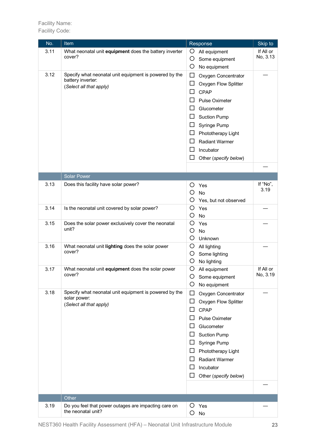Facility Name: Facility Code:

| No.  | Item                                                                       | Response                              | Skip to               |
|------|----------------------------------------------------------------------------|---------------------------------------|-----------------------|
| 3.11 | What neonatal unit equipment does the battery inverter                     | O<br>All equipment                    | If All or             |
|      | cover?                                                                     | O<br>Some equipment                   | No, 3.13              |
|      |                                                                            | O<br>No equipment                     |                       |
| 3.12 | Specify what neonatal unit equipment is powered by the                     | ப<br>Oxygen Concentrator              |                       |
|      | battery inverter:<br>(Select all that apply)                               | $\Box$<br>Oxygen Flow Splitter        |                       |
|      |                                                                            | <b>CPAP</b><br>ப                      |                       |
|      |                                                                            | <b>Pulse Oximeter</b><br>ΙI           |                       |
|      |                                                                            | ப<br>Glucometer                       |                       |
|      |                                                                            | <b>Suction Pump</b><br>ப              |                       |
|      |                                                                            | Syringe Pump<br>ப                     |                       |
|      |                                                                            | ப<br>Phototherapy Light               |                       |
|      |                                                                            | <b>Radiant Warmer</b><br>ΙI           |                       |
|      |                                                                            | Incubator<br>ப                        |                       |
|      |                                                                            | Other (specify below)<br>$\mathsf{L}$ |                       |
|      |                                                                            |                                       |                       |
|      | <b>Solar Power</b>                                                         |                                       |                       |
| 3.13 | Does this facility have solar power?                                       | Ő<br>Yes                              | If "No",              |
|      |                                                                            | O<br><b>No</b>                        | 3.19                  |
|      |                                                                            | Ő<br>Yes, but not observed            |                       |
| 3.14 | Is the neonatal unit covered by solar power?                               | Ο<br>Yes                              |                       |
|      |                                                                            | O<br>No                               |                       |
| 3.15 | Does the solar power exclusively cover the neonatal                        | O<br>Yes                              |                       |
|      | unit?                                                                      | O<br><b>No</b>                        |                       |
|      |                                                                            | O<br>Unknown                          |                       |
| 3.16 | What neonatal unit lighting does the solar power                           | O<br>All lighting                     |                       |
|      | cover?                                                                     | O<br>Some lighting                    |                       |
|      |                                                                            | O<br>No lighting                      |                       |
| 3.17 | What neonatal unit equipment does the solar power<br>cover?                | O<br>All equipment                    | If All or<br>No, 3.19 |
|      |                                                                            | O<br>Some equipment                   |                       |
|      |                                                                            | O<br>No equipment                     |                       |
| 3.18 | Specify what neonatal unit equipment is powered by the<br>solar power:     | $\Box$<br>Oxygen Concentrator         |                       |
|      | (Select all that apply)                                                    | Oxygen Flow Splitter<br>ப             |                       |
|      |                                                                            | CPAP<br>ΙI                            |                       |
|      |                                                                            | <b>Pulse Oximeter</b>                 |                       |
|      |                                                                            | Glucometer                            |                       |
|      |                                                                            | <b>Suction Pump</b><br>$\Box$         |                       |
|      |                                                                            | Syringe Pump                          |                       |
|      |                                                                            | Phototherapy Light<br>ப               |                       |
|      |                                                                            | <b>Radiant Warmer</b><br>ப            |                       |
|      |                                                                            | Incubator                             |                       |
|      |                                                                            | Other (specify below)<br>ப            |                       |
|      |                                                                            |                                       |                       |
|      |                                                                            |                                       |                       |
|      | Other                                                                      |                                       |                       |
| 3.19 | Do you feel that power outages are impacting care on<br>the neonatal unit? | Yes<br>Ő<br>Ő<br>No                   |                       |
|      |                                                                            |                                       |                       |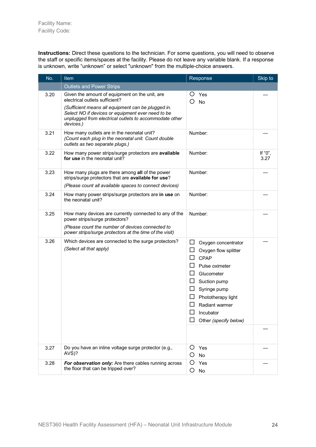**Instructions:** Direct these questions to the technician. For some questions, you will need to observe the staff or specific items/spaces at the facility. Please do not leave any variable blank. If a response is unknown, write "unknown" or select "unknown" from the multiple-choice answers.

| No.  | Item                                                                                                                                                                                                                                                               | Response                                                                                                                                                                                                                                                              | Skip to         |
|------|--------------------------------------------------------------------------------------------------------------------------------------------------------------------------------------------------------------------------------------------------------------------|-----------------------------------------------------------------------------------------------------------------------------------------------------------------------------------------------------------------------------------------------------------------------|-----------------|
|      | <b>Outlets and Power Strips</b>                                                                                                                                                                                                                                    |                                                                                                                                                                                                                                                                       |                 |
| 3.20 | Given the amount of equipment on the unit, are<br>electrical outlets sufficient?<br>(Sufficient means all equipment can be plugged in.<br>Select NO if devices or equipment ever need to be<br>unplugged from electrical outlets to accommodate other<br>devices.) | Ő<br>Yes<br>O<br><b>No</b>                                                                                                                                                                                                                                            |                 |
| 3.21 | How many outlets are in the neonatal unit?<br>(Count each plug in the neonatal unit. Count double<br>outlets as two separate plugs.)                                                                                                                               | Number:                                                                                                                                                                                                                                                               |                 |
| 3.22 | How many power strips/surge protectors are available<br>for use in the neonatal unit?                                                                                                                                                                              | Number:                                                                                                                                                                                                                                                               | If "0",<br>3.27 |
| 3.23 | How many plugs are there among all of the power<br>strips/surge protectors that are available for use?<br>(Please count all available spaces to connect devices)                                                                                                   | Number:                                                                                                                                                                                                                                                               |                 |
| 3.24 | How many power strips/surge protectors are in use on<br>the neonatal unit?                                                                                                                                                                                         | Number:                                                                                                                                                                                                                                                               |                 |
| 3.25 | How many devices are currently connected to any of the<br>power strips/surge protectors?<br>(Please count the number of devices connected to<br>power strips/surge protectors at the time of the visit)                                                            | Number:                                                                                                                                                                                                                                                               |                 |
| 3.26 | Which devices are connected to the surge protectors?<br>(Select all that apply)                                                                                                                                                                                    | ப<br>Oxygen concentrator<br>□<br>Oxygen flow splitter<br>□<br><b>CPAP</b><br>Pulse oximeter<br>ப<br>Glucometer<br>ப<br>Suction pump<br>$\Box$<br>Syringe pump<br>Phototherapy light<br>$\Box$<br>Radiant warmer<br>$\Box$<br>Incubator<br>ΙI<br>Other (specify below) |                 |
| 3.27 | Do you have an inline voltage surge protector (e.g.,<br>AVS)?                                                                                                                                                                                                      | O<br>Yes<br>O<br><b>No</b>                                                                                                                                                                                                                                            |                 |
| 3.28 | For observation only: Are there cables running across<br>the floor that can be tripped over?                                                                                                                                                                       | O<br>Yes<br>O<br>No                                                                                                                                                                                                                                                   |                 |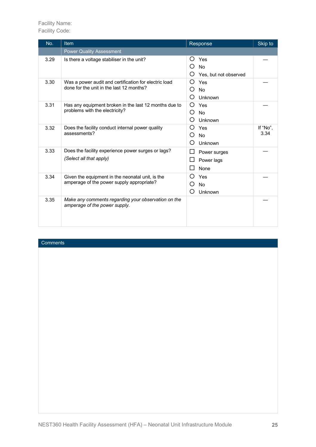Facility Name: Facility Code:

| No.  | Item                                                                                              | Response                                            | Skip to          |
|------|---------------------------------------------------------------------------------------------------|-----------------------------------------------------|------------------|
|      | <b>Power Quality Assessment</b>                                                                   |                                                     |                  |
| 3.29 | Is there a voltage stabiliser in the unit?                                                        | O<br>Yes<br>O<br><b>No</b><br>Yes, but not observed |                  |
| 3.30 | Was a power audit and certification for electric load<br>done for the unit in the last 12 months? | ∩<br>Yes<br><b>No</b><br>Unknown<br>O               |                  |
| 3.31 | Has any equipment broken in the last 12 months due to<br>problems with the electricity?           | O<br>Yes<br>O<br><b>No</b><br>∩<br>Unknown          |                  |
| 3.32 | Does the facility conduct internal power quality<br>assessments?                                  | O<br>Yes<br>O<br><b>No</b><br>Unknown<br>O          | If "No",<br>3.34 |
| 3.33 | Does the facility experience power surges or lags?<br>(Select all that apply)                     | ப<br>Power surges<br>Power lags<br>None             |                  |
| 3.34 | Given the equipment in the neonatal unit, is the<br>amperage of the power supply appropriate?     | ◯<br>Yes<br>O<br><b>No</b><br>O<br>Unknown          |                  |
| 3.35 | Make any comments regarding your observation on the<br>amperage of the power supply.              |                                                     |                  |

## **Comments**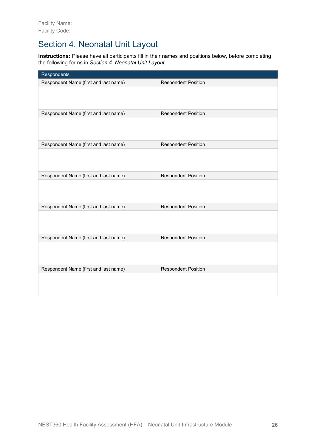## Section 4. Neonatal Unit Layout

**Instructions:** Please have all participants fill in their names and positions below, before completing the following forms in *Section 4. Neonatal Unit Layout*.

| Respondents                           |                            |
|---------------------------------------|----------------------------|
| Respondent Name (first and last name) | <b>Respondent Position</b> |
|                                       |                            |
| Respondent Name (first and last name) | <b>Respondent Position</b> |
|                                       |                            |
| Respondent Name (first and last name) | <b>Respondent Position</b> |
|                                       |                            |
| Respondent Name (first and last name) | <b>Respondent Position</b> |
|                                       |                            |
| Respondent Name (first and last name) | <b>Respondent Position</b> |
|                                       |                            |
| Respondent Name (first and last name) | <b>Respondent Position</b> |
|                                       |                            |
| Respondent Name (first and last name) | <b>Respondent Position</b> |
|                                       |                            |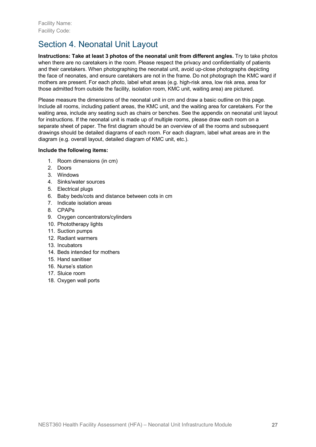# Section 4. Neonatal Unit Layout

**Instructions: Take at least 3 photos of the neonatal unit from different angles.** Try to take photos when there are no caretakers in the room. Please respect the privacy and confidentiality of patients and their caretakers. When photographing the neonatal unit, avoid up-close photographs depicting the face of neonates, and ensure caretakers are not in the frame. Do not photograph the KMC ward if mothers are present. For each photo, label what areas (e.g. high-risk area, low risk area, area for those admitted from outside the facility, isolation room, KMC unit, waiting area) are pictured.

Please measure the dimensions of the neonatal unit in cm and draw a basic outline on this page. Include all rooms, including patient areas, the KMC unit, and the waiting area for caretakers. For the waiting area, include any seating such as chairs or benches. See the appendix on neonatal unit layout for instructions. If the neonatal unit is made up of multiple rooms, please draw each room on a separate sheet of paper. The first diagram should be an overview of all the rooms and subsequent drawings should be detailed diagrams of each room. For each diagram, label what areas are in the diagram (e.g. overall layout, detailed diagram of KMC unit, etc.).

## **Include the following items:**

- 1. Room dimensions (in cm)
- 2. Doors
- 3. Windows
- 4. Sinks/water sources
- 5. Electrical plugs
- 6. Baby beds/cots and distance between cots in cm
- 7. Indicate isolation areas
- 8. CPAPs
- 9. Oxygen concentrators/cylinders
- 10. Phototherapy lights
- 11. Suction pumps
- 12. Radiant warmers
- 13. Incubators
- 14. Beds intended for mothers
- 15. Hand sanitiser
- 16. Nurse's station
- 17. Sluice room
- 18. Oxygen wall ports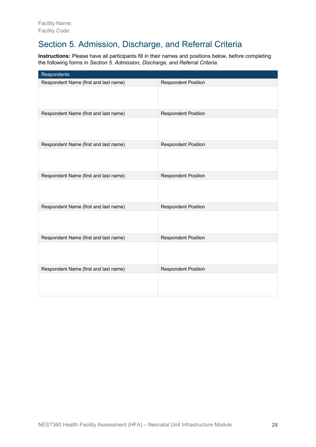# Section 5. Admission, Discharge, and Referral Criteria

**Instructions:** Please have all participants fill in their names and positions below, before completing the following forms in *Section 5. Admission, Discharge, and Referral Criteria.*

| Respondents                           |                            |
|---------------------------------------|----------------------------|
| Respondent Name (first and last name) | <b>Respondent Position</b> |
|                                       |                            |
| Respondent Name (first and last name) | <b>Respondent Position</b> |
|                                       |                            |
| Respondent Name (first and last name) | <b>Respondent Position</b> |
|                                       |                            |
| Respondent Name (first and last name) | <b>Respondent Position</b> |
|                                       |                            |
| Respondent Name (first and last name) | <b>Respondent Position</b> |
|                                       |                            |
| Respondent Name (first and last name) | <b>Respondent Position</b> |
|                                       |                            |
| Respondent Name (first and last name) | <b>Respondent Position</b> |
|                                       |                            |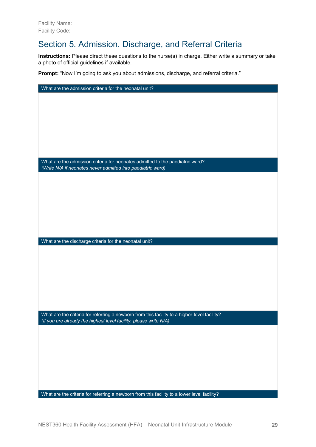## Section 5. Admission, Discharge, and Referral Criteria

**Instructions:** Please direct these questions to the nurse(s) in charge. Either write a summary or take a photo of official guidelines if available.

**Prompt:** "Now I'm going to ask you about admissions, discharge, and referral criteria."

| What are the admission criteria for the neonatal unit?                                                                                                            |
|-------------------------------------------------------------------------------------------------------------------------------------------------------------------|
|                                                                                                                                                                   |
|                                                                                                                                                                   |
|                                                                                                                                                                   |
|                                                                                                                                                                   |
|                                                                                                                                                                   |
|                                                                                                                                                                   |
|                                                                                                                                                                   |
| What are the admission criteria for neonates admitted to the paediatric ward?                                                                                     |
| (Write N/A if neonates never admitted into paediatric ward)                                                                                                       |
|                                                                                                                                                                   |
|                                                                                                                                                                   |
|                                                                                                                                                                   |
|                                                                                                                                                                   |
|                                                                                                                                                                   |
|                                                                                                                                                                   |
|                                                                                                                                                                   |
| What are the discharge criteria for the neonatal unit?                                                                                                            |
|                                                                                                                                                                   |
|                                                                                                                                                                   |
|                                                                                                                                                                   |
|                                                                                                                                                                   |
|                                                                                                                                                                   |
|                                                                                                                                                                   |
|                                                                                                                                                                   |
|                                                                                                                                                                   |
| What are the criteria for referring a newborn from this facility to a higher-level facility?<br>(If you are already the highest level facility, please write N/A) |
|                                                                                                                                                                   |
|                                                                                                                                                                   |
|                                                                                                                                                                   |
|                                                                                                                                                                   |
|                                                                                                                                                                   |
|                                                                                                                                                                   |
|                                                                                                                                                                   |
|                                                                                                                                                                   |
| What are the criteria for referring a newborn from this facility to a lower level facility?                                                                       |